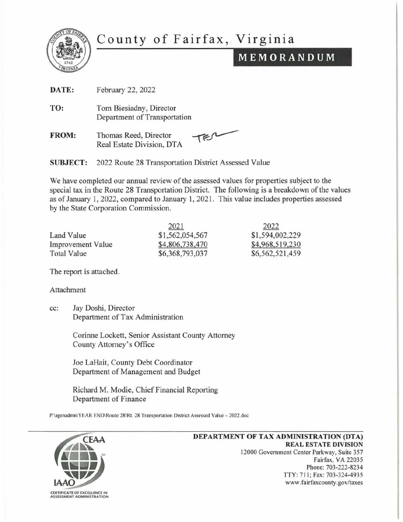

# County of Fairfax, Virginia

## MEMORANDUM

| DATE:           | February 22, 2022                                         |
|-----------------|-----------------------------------------------------------|
| TO:             | Tom Biesiadny, Director<br>Department of Transportation   |
| <b>FROM:</b>    | TER<br>Thomas Reed, Director<br>Real Estate Division, DTA |
| <b>SUBJECT:</b> | 2022 Route 28 Transportation District Assessed Value      |

We have completed our annual review of the assessed values for properties subject to the special tax in the Route 28 Transportation District. The following is a breakdown of the values as of January **1,** 2022, compared to January 1,2021. This value includes properties assessed by the State Corporation Commission.

|                          | 2021            | 2022            |
|--------------------------|-----------------|-----------------|
| Land Value               | \$1,562,054,567 | \$1,594,002,229 |
| <b>Improvement Value</b> | \$4,806,738,470 | \$4,968,519,230 |
| <b>Total Value</b>       | \$6,368,793,037 | \$6,562,521,459 |

The report is attached.

Attachment

cc: Jay Doshi, Director Department of Tax Administration

> Corinne Lockett, Senior Assistant County Attorney County Attorney's Office

Joe LaHait, County Debt Coordinator Department of Management and Budget

Richard M. Modie, Chief Financial Reporting Department of Finance

P:\agenadmn\YEAR END\Route 28\Rt. 28 Transportation District Assessed Value - 2022.doc



#### **DEPARTMENT OF TAX ADMINISTRATION (DTA) REAL ESTATE DIVISION**  12000 Government Center Parkway, Suite 357 Fairfax, VA 22035 Phone: 703-222-8234 TTY: 711; Fax: 703-324-4935 www.fairfaxcounty.gov/taxes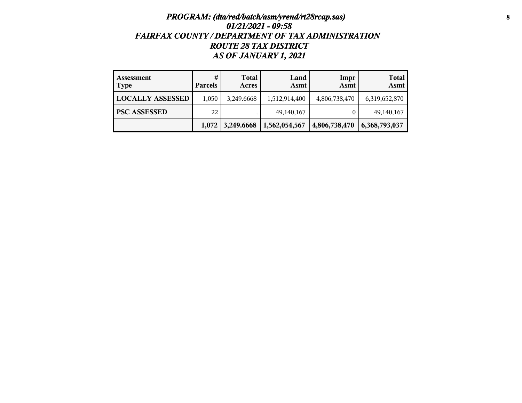## *PROGRAM: (dta/red/batch/asm/yrend/rt28rcap.sas)* **8** *01/21/2021 - 09:58 FAIRFAX COUNTY / DEPARTMENT OF TAX ADMINISTRATION ROUTE 28 TAX DISTRICT AS OF JANUARY 1, 2021*

| Assessment<br><b>Type</b> | #<br><b>Parcels</b> | <b>Total</b><br>Acres | Land<br>Asmt  | Impr<br>Asmt  | <b>Total</b><br>Asmt |
|---------------------------|---------------------|-----------------------|---------------|---------------|----------------------|
| <b>LOCALLY ASSESSED</b>   | 1,050               | 3,249.6668            | 1,512,914,400 | 4,806,738,470 | 6,319,652,870        |
| <b>PSC ASSESSED</b>       | 22                  |                       | 49, 140, 167  |               | 49, 140, 167         |
|                           |                     | $1,072$   3,249.6668  | 1,562,054,567 | 4,806,738,470 | 6,368,793,037        |